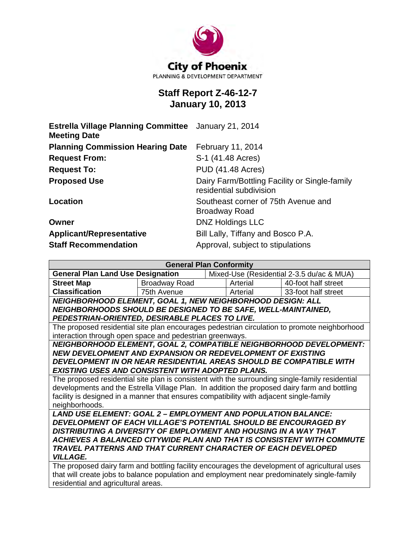

# **Staff Report Z-46-12-7 January 10, 2013**

| <b>Estrella Village Planning Committee</b> January 21, 2014<br><b>Meeting Date</b> |                                                                          |
|------------------------------------------------------------------------------------|--------------------------------------------------------------------------|
| <b>Planning Commission Hearing Date</b>                                            | February 11, 2014                                                        |
| <b>Request From:</b>                                                               | S-1 (41.48 Acres)                                                        |
| <b>Request To:</b>                                                                 | <b>PUD (41.48 Acres)</b>                                                 |
| <b>Proposed Use</b>                                                                | Dairy Farm/Bottling Facility or Single-family<br>residential subdivision |
| Location                                                                           | Southeast corner of 75th Avenue and<br><b>Broadway Road</b>              |
| Owner                                                                              | <b>DNZ Holdings LLC</b>                                                  |
| <b>Applicant/Representative</b>                                                    | Bill Lally, Tiffany and Bosco P.A.                                       |
| <b>Staff Recommendation</b>                                                        | Approval, subject to stipulations                                        |

| <b>General Plan Conformity</b>                                                                  |               |  |          |                                           |  |
|-------------------------------------------------------------------------------------------------|---------------|--|----------|-------------------------------------------|--|
| <b>General Plan Land Use Designation</b>                                                        |               |  |          | Mixed-Use (Residential 2-3.5 du/ac & MUA) |  |
| <b>Street Map</b>                                                                               | Broadway Road |  | Arterial | 40-foot half street                       |  |
| <b>Classification</b>                                                                           | 75th Avenue   |  | Arterial | 33-foot half street                       |  |
| NEIGHBORHOOD ELEMENT, GOAL 1, NEW NEIGHBORHOOD DESIGN: ALL                                      |               |  |          |                                           |  |
| NEIGHBORHOODS SHOULD BE DESIGNED TO BE SAFE, WELL-MAINTAINED,                                   |               |  |          |                                           |  |
| PEDESTRIAN-ORIENTED, DESIRABLE PLACES TO LIVE.                                                  |               |  |          |                                           |  |
| The proposed residential site plan encourages pedestrian circulation to promote neighborhood    |               |  |          |                                           |  |
| interaction through open space and pedestrian greenways.                                        |               |  |          |                                           |  |
| NEIGHBORHOOD ELEMENT, GOAL 2, COMPATIBLE NEIGHBORHOOD DEVELOPMENT:                              |               |  |          |                                           |  |
| NEW DEVELOPMENT AND EXPANSION OR REDEVELOPMENT OF EXISTING                                      |               |  |          |                                           |  |
| DEVELOPMENT IN OR NEAR RESIDENTIAL AREAS SHOULD BE COMPATIBLE WITH                              |               |  |          |                                           |  |
| EXISTING USES AND CONSISTENT WITH ADOPTED PLANS.                                                |               |  |          |                                           |  |
| The proposed residential site plan is consistent with the surrounding single-family residential |               |  |          |                                           |  |
| developments and the Estrella Village Plan. In addition the proposed dairy farm and bottling    |               |  |          |                                           |  |
| facility is designed in a manner that ensures compatibility with adjacent single-family         |               |  |          |                                           |  |
| neighborhoods.                                                                                  |               |  |          |                                           |  |
| <b>LAND USE ELEMENT: GOAL 2 - EMPLOYMENT AND POPULATION BALANCE:</b>                            |               |  |          |                                           |  |
| DEVELOPMENT OF EACH VILLAGE'S POTENTIAL SHOULD BE ENCOURAGED BY                                 |               |  |          |                                           |  |
| DISTRIBUTING A DIVERSITY OF EMPLOYMENT AND HOUSING IN A WAY THAT                                |               |  |          |                                           |  |
| ACHIEVES A BALANCED CITYWIDE PLAN AND THAT IS CONSISTENT WITH COMMUTE                           |               |  |          |                                           |  |
| TRAVEL PATTERNS AND THAT CURRENT CHARACTER OF EACH DEVELOPED                                    |               |  |          |                                           |  |
| <b>VILLAGE.</b>                                                                                 |               |  |          |                                           |  |
| The proposed dairy farm and bottling facility encourages the development of agricultural uses   |               |  |          |                                           |  |
| that will create jobs to balance population and employment near predominately single-family     |               |  |          |                                           |  |

residential and agricultural areas.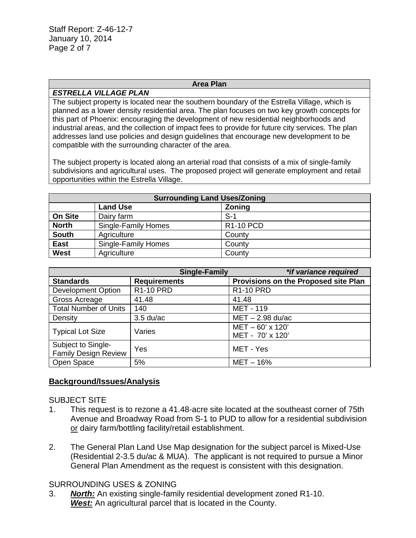Staff Report: Z-46-12-7 January 10, 2014 Page 2 of 7

#### **Area Plan**

#### *ESTRELLA VILLAGE PLAN*

The subject property is located near the southern boundary of the Estrella Village, which is planned as a lower density residential area. The plan focuses on two key growth concepts for this part of Phoenix: encouraging the development of new residential neighborhoods and industrial areas, and the collection of impact fees to provide for future city services. The plan addresses land use policies and design guidelines that encourage new development to be compatible with the surrounding character of the area.

The subject property is located along an arterial road that consists of a mix of single-family subdivisions and agricultural uses. The proposed project will generate employment and retail opportunities within the Estrella Village.

| <b>Surrounding Land Uses/Zoning</b> |                     |                  |  |
|-------------------------------------|---------------------|------------------|--|
|                                     | <b>Land Use</b>     | <b>Zoning</b>    |  |
| <b>On Site</b>                      | Dairy farm          | $S-1$            |  |
| <b>North</b>                        | Single-Family Homes | <b>R1-10 PCD</b> |  |
| <b>South</b>                        | Agriculture         | County           |  |
| <b>East</b>                         | Single-Family Homes | County           |  |
| <b>West</b>                         | Agriculture         | County           |  |

| <b>Single-Family</b>                              |                     | *if variance required                |
|---------------------------------------------------|---------------------|--------------------------------------|
| <b>Standards</b>                                  | <b>Requirements</b> | Provisions on the Proposed site Plan |
| <b>Development Option</b>                         | <b>R1-10 PRD</b>    | <b>R1-10 PRD</b>                     |
| Gross Acreage                                     | 41.48               | 41.48                                |
| <b>Total Number of Units</b>                      | 140                 | <b>MET - 119</b>                     |
| Density                                           | $3.5$ du/ac         | $MET - 2.98$ du/ac                   |
| <b>Typical Lot Size</b>                           | Varies              | MET-60' x 120'<br>MET - 70' x 120'   |
| Subject to Single-<br><b>Family Design Review</b> | Yes                 | MET - Yes                            |
| Open Space                                        | 5%                  | $MET-16%$                            |

#### **Background/Issues/Analysis**

#### SUBJECT SITE

- 1. This request is to rezone a 41.48-acre site located at the southeast corner of 75th Avenue and Broadway Road from S-1 to PUD to allow for a residential subdivision or dairy farm/bottling facility/retail establishment.
- 2. The General Plan Land Use Map designation for the subject parcel is Mixed-Use (Residential 2-3.5 du/ac & MUA). The applicant is not required to pursue a Minor General Plan Amendment as the request is consistent with this designation.

#### SURROUNDING USES & ZONING

3. *North:* An existing single-family residential development zoned R1-10. *West:* An agricultural parcel that is located in the County.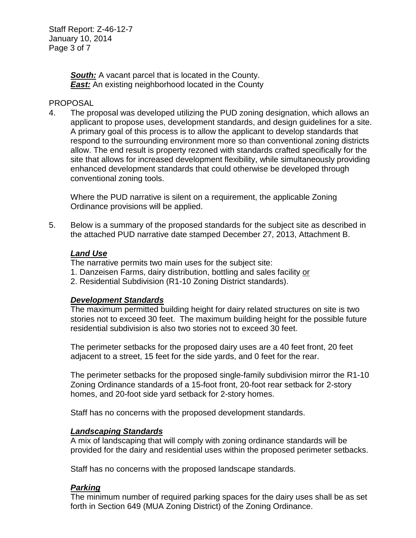Staff Report: Z-46-12-7 January 10, 2014 Page 3 of 7

> *South:* A vacant parcel that is located in the County. *East:* An existing neighborhood located in the County

#### PROPOSAL

4. The proposal was developed utilizing the PUD zoning designation, which allows an applicant to propose uses, development standards, and design guidelines for a site. A primary goal of this process is to allow the applicant to develop standards that respond to the surrounding environment more so than conventional zoning districts allow. The end result is property rezoned with standards crafted specifically for the site that allows for increased development flexibility, while simultaneously providing enhanced development standards that could otherwise be developed through conventional zoning tools.

Where the PUD narrative is silent on a requirement, the applicable Zoning Ordinance provisions will be applied.

5. Below is a summary of the proposed standards for the subject site as described in the attached PUD narrative date stamped December 27, 2013, Attachment B.

#### *Land Use*

The narrative permits two main uses for the subject site:

- 1. Danzeisen Farms, dairy distribution, bottling and sales facility or
- 2. Residential Subdivision (R1-10 Zoning District standards).

#### *Development Standards*

The maximum permitted building height for dairy related structures on site is two stories not to exceed 30 feet. The maximum building height for the possible future residential subdivision is also two stories not to exceed 30 feet.

The perimeter setbacks for the proposed dairy uses are a 40 feet front, 20 feet adjacent to a street, 15 feet for the side yards, and 0 feet for the rear.

The perimeter setbacks for the proposed single-family subdivision mirror the R1-10 Zoning Ordinance standards of a 15-foot front, 20-foot rear setback for 2-story homes, and 20-foot side yard setback for 2-story homes.

Staff has no concerns with the proposed development standards.

#### *Landscaping Standards*

A mix of landscaping that will comply with zoning ordinance standards will be provided for the dairy and residential uses within the proposed perimeter setbacks.

Staff has no concerns with the proposed landscape standards.

# *Parking*

The minimum number of required parking spaces for the dairy uses shall be as set forth in Section 649 (MUA Zoning District) of the Zoning Ordinance.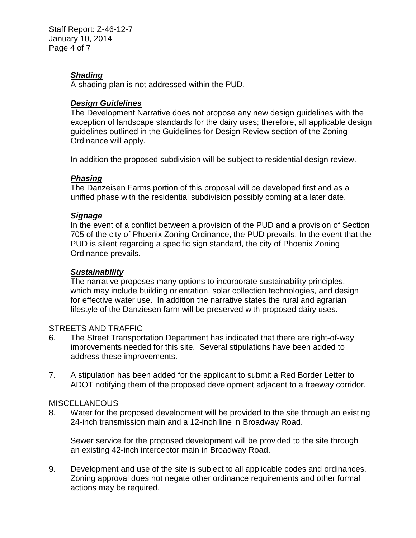Staff Report: Z-46-12-7 January 10, 2014 Page 4 of 7

### *Shading*

A shading plan is not addressed within the PUD.

#### *Design Guidelines*

The Development Narrative does not propose any new design guidelines with the exception of landscape standards for the dairy uses; therefore, all applicable design guidelines outlined in the Guidelines for Design Review section of the Zoning Ordinance will apply.

In addition the proposed subdivision will be subject to residential design review.

#### *Phasing*

The Danzeisen Farms portion of this proposal will be developed first and as a unified phase with the residential subdivision possibly coming at a later date.

#### *Signage*

In the event of a conflict between a provision of the PUD and a provision of Section 705 of the city of Phoenix Zoning Ordinance, the PUD prevails. In the event that the PUD is silent regarding a specific sign standard, the city of Phoenix Zoning Ordinance prevails.

#### *Sustainability*

The narrative proposes many options to incorporate sustainability principles, which may include building orientation, solar collection technologies, and design for effective water use. In addition the narrative states the rural and agrarian lifestyle of the Danziesen farm will be preserved with proposed dairy uses.

#### STREETS AND TRAFFIC

- 6. The Street Transportation Department has indicated that there are right-of-way improvements needed for this site. Several stipulations have been added to address these improvements.
- 7. A stipulation has been added for the applicant to submit a Red Border Letter to ADOT notifying them of the proposed development adjacent to a freeway corridor.

#### MISCELLANEOUS

8. Water for the proposed development will be provided to the site through an existing 24-inch transmission main and a 12-inch line in Broadway Road.

Sewer service for the proposed development will be provided to the site through an existing 42-inch interceptor main in Broadway Road.

9. Development and use of the site is subject to all applicable codes and ordinances. Zoning approval does not negate other ordinance requirements and other formal actions may be required.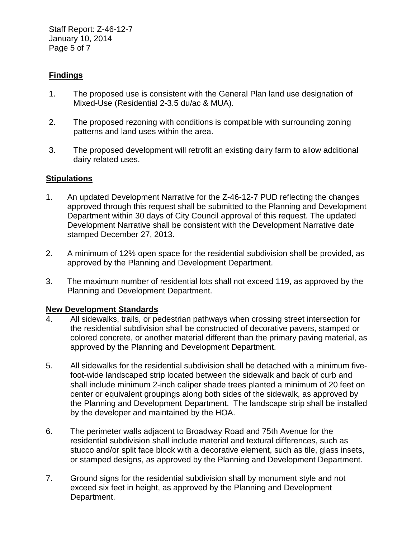Staff Report: Z-46-12-7 January 10, 2014 Page 5 of 7

## **Findings**

- 1. The proposed use is consistent with the General Plan land use designation of Mixed-Use (Residential 2-3.5 du/ac & MUA).
- 2. The proposed rezoning with conditions is compatible with surrounding zoning patterns and land uses within the area.
- 3. The proposed development will retrofit an existing dairy farm to allow additional dairy related uses.

#### **Stipulations**

- 1. An updated Development Narrative for the Z-46-12-7 PUD reflecting the changes approved through this request shall be submitted to the Planning and Development Department within 30 days of City Council approval of this request. The updated Development Narrative shall be consistent with the Development Narrative date stamped December 27, 2013.
- 2. A minimum of 12% open space for the residential subdivision shall be provided, as approved by the Planning and Development Department.
- 3. The maximum number of residential lots shall not exceed 119, as approved by the Planning and Development Department.

#### **New Development Standards**

- 4. All sidewalks, trails, or pedestrian pathways when crossing street intersection for the residential subdivision shall be constructed of decorative pavers, stamped or colored concrete, or another material different than the primary paving material, as approved by the Planning and Development Department.
- 5. All sidewalks for the residential subdivision shall be detached with a minimum fivefoot-wide landscaped strip located between the sidewalk and back of curb and shall include minimum 2-inch caliper shade trees planted a minimum of 20 feet on center or equivalent groupings along both sides of the sidewalk, as approved by the Planning and Development Department. The landscape strip shall be installed by the developer and maintained by the HOA.
- 6. The perimeter walls adjacent to Broadway Road and 75th Avenue for the residential subdivision shall include material and textural differences, such as stucco and/or split face block with a decorative element, such as tile, glass insets, or stamped designs, as approved by the Planning and Development Department.
- 7. Ground signs for the residential subdivision shall by monument style and not exceed six feet in height, as approved by the Planning and Development Department.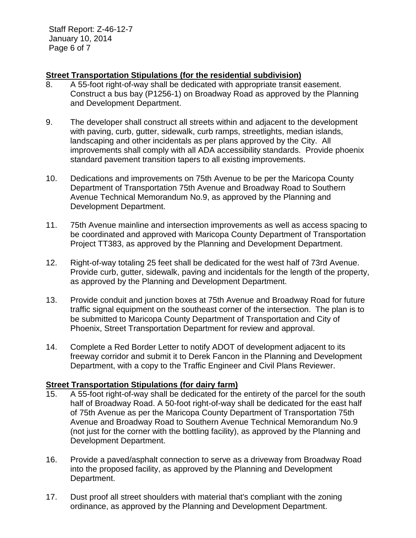Staff Report: Z-46-12-7 January 10, 2014 Page 6 of 7

### **Street Transportation Stipulations (for the residential subdivision)**

- 8. A 55-foot right-of-way shall be dedicated with appropriate transit easement. Construct a bus bay (P1256-1) on Broadway Road as approved by the Planning and Development Department.
- 9. The developer shall construct all streets within and adjacent to the development with paving, curb, gutter, sidewalk, curb ramps, streetlights, median islands, landscaping and other incidentals as per plans approved by the City. All improvements shall comply with all ADA accessibility standards. Provide phoenix standard pavement transition tapers to all existing improvements.
- 10. Dedications and improvements on 75th Avenue to be per the Maricopa County Department of Transportation 75th Avenue and Broadway Road to Southern Avenue Technical Memorandum No.9, as approved by the Planning and Development Department.
- 11. 75th Avenue mainline and intersection improvements as well as access spacing to be coordinated and approved with Maricopa County Department of Transportation Project TT383, as approved by the Planning and Development Department.
- 12. Right-of-way totaling 25 feet shall be dedicated for the west half of 73rd Avenue. Provide curb, gutter, sidewalk, paving and incidentals for the length of the property, as approved by the Planning and Development Department.
- 13. Provide conduit and junction boxes at 75th Avenue and Broadway Road for future traffic signal equipment on the southeast corner of the intersection. The plan is to be submitted to Maricopa County Department of Transportation and City of Phoenix, Street Transportation Department for review and approval.
- 14. Complete a Red Border Letter to notify ADOT of development adjacent to its freeway corridor and submit it to Derek Fancon in the Planning and Development Department, with a copy to the Traffic Engineer and Civil Plans Reviewer.

#### **Street Transportation Stipulations (for dairy farm)**

- 15. A 55-foot right-of-way shall be dedicated for the entirety of the parcel for the south half of Broadway Road. A 50-foot right-of-way shall be dedicated for the east half of 75th Avenue as per the Maricopa County Department of Transportation 75th Avenue and Broadway Road to Southern Avenue Technical Memorandum No.9 (not just for the corner with the bottling facility), as approved by the Planning and Development Department.
- 16. Provide a paved/asphalt connection to serve as a driveway from Broadway Road into the proposed facility, as approved by the Planning and Development Department.
- 17. Dust proof all street shoulders with material that's compliant with the zoning ordinance, as approved by the Planning and Development Department.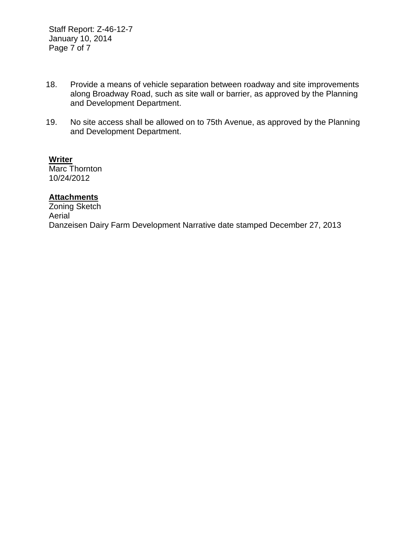Staff Report: Z-46-12-7 January 10, 2014 Page 7 of 7

- 18. Provide a means of vehicle separation between roadway and site improvements along Broadway Road, such as site wall or barrier, as approved by the Planning and Development Department.
- 19. No site access shall be allowed on to 75th Avenue, as approved by the Planning and Development Department.

**Writer** Marc Thornton 10/24/2012

# **Attachments**

Zoning Sketch Aerial Danzeisen Dairy Farm Development Narrative date stamped December 27, 2013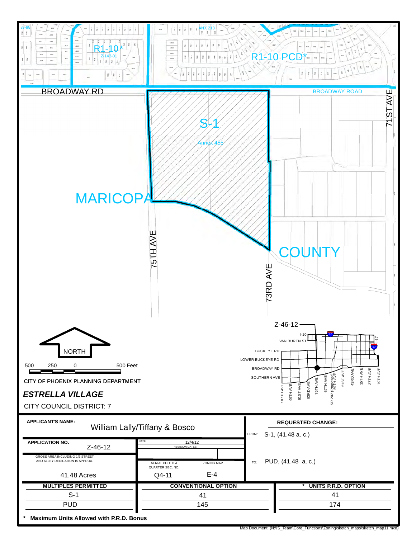